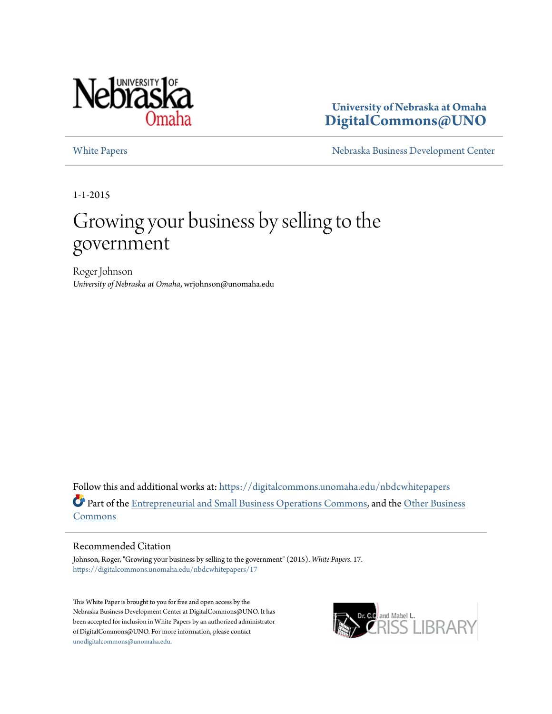

**University of Nebraska at Omaha [DigitalCommons@UNO](https://digitalcommons.unomaha.edu?utm_source=digitalcommons.unomaha.edu%2Fnbdcwhitepapers%2F17&utm_medium=PDF&utm_campaign=PDFCoverPages)**

[White Papers](https://digitalcommons.unomaha.edu/nbdcwhitepapers?utm_source=digitalcommons.unomaha.edu%2Fnbdcwhitepapers%2F17&utm_medium=PDF&utm_campaign=PDFCoverPages) **[Nebraska Business Development Center](https://digitalcommons.unomaha.edu/nbdc?utm_source=digitalcommons.unomaha.edu%2Fnbdcwhitepapers%2F17&utm_medium=PDF&utm_campaign=PDFCoverPages)** 

1-1-2015

# Growing your business by selling to the government

Roger Johnson *University of Nebraska at Omaha*, wrjohnson@unomaha.edu

Follow this and additional works at: [https://digitalcommons.unomaha.edu/nbdcwhitepapers](https://digitalcommons.unomaha.edu/nbdcwhitepapers?utm_source=digitalcommons.unomaha.edu%2Fnbdcwhitepapers%2F17&utm_medium=PDF&utm_campaign=PDFCoverPages) Part of the [Entrepreneurial and Small Business Operations Commons](http://network.bepress.com/hgg/discipline/630?utm_source=digitalcommons.unomaha.edu%2Fnbdcwhitepapers%2F17&utm_medium=PDF&utm_campaign=PDFCoverPages), and the [Other Business](http://network.bepress.com/hgg/discipline/647?utm_source=digitalcommons.unomaha.edu%2Fnbdcwhitepapers%2F17&utm_medium=PDF&utm_campaign=PDFCoverPages) [Commons](http://network.bepress.com/hgg/discipline/647?utm_source=digitalcommons.unomaha.edu%2Fnbdcwhitepapers%2F17&utm_medium=PDF&utm_campaign=PDFCoverPages)

#### Recommended Citation

Johnson, Roger, "Growing your business by selling to the government" (2015). *White Papers*. 17. [https://digitalcommons.unomaha.edu/nbdcwhitepapers/17](https://digitalcommons.unomaha.edu/nbdcwhitepapers/17?utm_source=digitalcommons.unomaha.edu%2Fnbdcwhitepapers%2F17&utm_medium=PDF&utm_campaign=PDFCoverPages)

This White Paper is brought to you for free and open access by the Nebraska Business Development Center at DigitalCommons@UNO. It has been accepted for inclusion in White Papers by an authorized administrator of DigitalCommons@UNO. For more information, please contact [unodigitalcommons@unomaha.edu](mailto:unodigitalcommons@unomaha.edu).

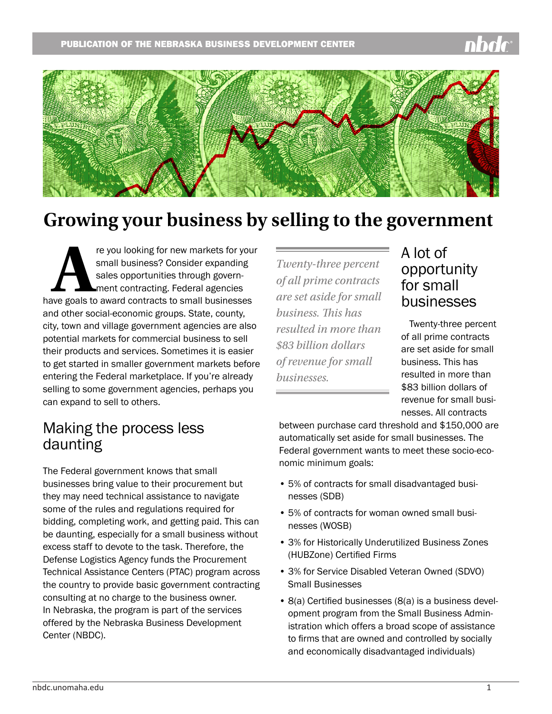

## **Growing your business by selling to the government**

re you looking for new markets for your<br>
small business? Consider expanding<br>
sales opportunities through govern-<br>
ment contracting. Federal agencies<br>
have goals to award contracts to small businesses small business? Consider expanding sales opportunities through government contracting. Federal agencies and other social-economic groups. State, county, city, town and village government agencies are also potential markets for commercial business to sell their products and services. Sometimes it is easier to get started in smaller government markets before entering the Federal marketplace. If you're already selling to some government agencies, perhaps you can expand to sell to others.

#### *Twenty-three percent of all prime contracts are set aside for small business. This has resulted in more than \$83 billion dollars of revenue for small businesses.*

#### A lot of opportunity for small businesses

Twenty-three percent of all prime contracts are set aside for small business. This has resulted in more than \$83 billion dollars of revenue for small businesses. All contracts

### Making the process less daunting

The Federal government knows that small businesses bring value to their procurement but they may need technical assistance to navigate some of the rules and regulations required for bidding, completing work, and getting paid. This can be daunting, especially for a small business without excess staff to devote to the task. Therefore, the Defense Logistics Agency funds the Procurement Technical Assistance Centers (PTAC) program across the country to provide basic government contracting consulting at no charge to the business owner. In Nebraska, the program is part of the services offered by the Nebraska Business Development Center (NBDC).

between purchase card threshold and \$150,000 are automatically set aside for small businesses. The Federal government wants to meet these socio-economic minimum goals:

- 5% of contracts for small disadvantaged businesses (SDB)
- 5% of contracts for woman owned small businesses (WOSB)
- 3% for Historically Underutilized Business Zones (HUBZone) Certified Firms
- 3% for Service Disabled Veteran Owned (SDVO) Small Businesses
- 8(a) Certified businesses (8(a) is a business development program from the Small Business Administration which offers a broad scope of assistance to firms that are owned and controlled by socially and economically disadvantaged individuals)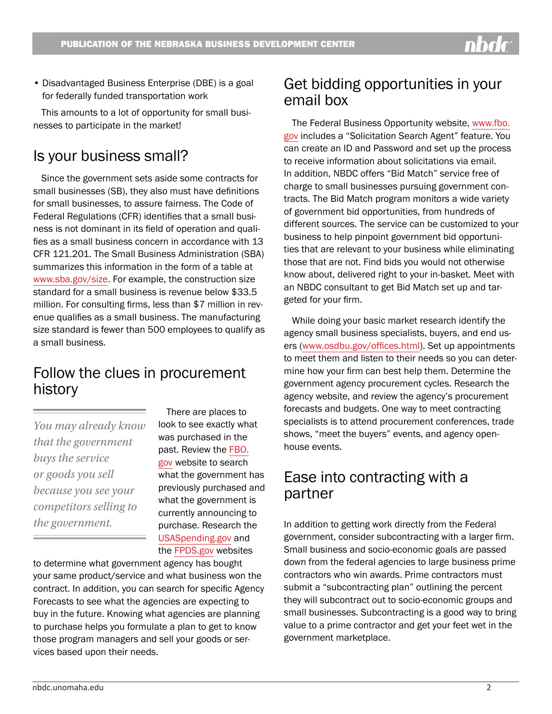• Disadvantaged Business Enterprise (DBE) is a goal for federally funded transportation work

This amounts to a lot of opportunity for small businesses to participate in the market!

### Is your business small?

Since the government sets aside some contracts for small businesses (SB), they also must have definitions for small businesses, to assure fairness. The Code of Federal Regulations (CFR) identifies that a small business is not dominant in its field of operation and qualifies as a small business concern in accordance with 13 CFR 121.201. The Small Business Administration (SBA) summarizes this information in the form of a table at [www.sba.gov/size.](http://www.sba.gov/size) For example, the construction size standard for a small business is revenue below \$33.5 million. For consulting firms, less than \$7 million in revenue qualifies as a small business. The manufacturing size standard is fewer than 500 employees to qualify as a small business.

#### Follow the clues in procurement history

*You may already know that the government buys the service or goods you sell because you see your competitors selling to the government.*

There are places to look to see exactly what was purchased in the past. Review the [FBO.](http://FBO.gov) [gov](http://FBO.gov) website to search what the government has previously purchased and what the government is currently announcing to purchase. Research the [USASpending.gov](http://USASpending.gov) and the [FPDS.gov](http://FPDS.gov) websites

to determine what government agency has bought your same product/service and what business won the contract. In addition, you can search for specific Agency Forecasts to see what the agencies are expecting to buy in the future. Knowing what agencies are planning to purchase helps you formulate a plan to get to know those program managers and sell your goods or services based upon their needs.

#### Get bidding opportunities in your email box

The Federal Business Opportunity website, [www.fbo.](http://www.fbo.gov) [gov](http://www.fbo.gov) includes a "Solicitation Search Agent" feature. You can create an ID and Password and set up the process to receive information about solicitations via email. In addition, NBDC offers "Bid Match" service free of charge to small businesses pursuing government contracts. The Bid Match program monitors a wide variety of government bid opportunities, from hundreds of different sources. The service can be customized to your business to help pinpoint government bid opportunities that are relevant to your business while eliminating those that are not. Find bids you would not otherwise know about, delivered right to your in-basket. Meet with an NBDC consultant to get Bid Match set up and targeted for your firm.

While doing your basic market research identify the agency small business specialists, buyers, and end users ([www.osdbu.gov/offices.html](http://www.osdbu.gov/offices.html)). Set up appointments to meet them and listen to their needs so you can determine how your firm can best help them. Determine the government agency procurement cycles. Research the agency website, and review the agency's procurement forecasts and budgets. One way to meet contracting specialists is to attend procurement conferences, trade shows, "meet the buyers" events, and agency openhouse events.

#### Ease into contracting with a partner

In addition to getting work directly from the Federal government, consider subcontracting with a larger firm. Small business and socio-economic goals are passed down from the federal agencies to large business prime contractors who win awards. Prime contractors must submit a "subcontracting plan" outlining the percent they will subcontract out to socio-economic groups and small businesses. Subcontracting is a good way to bring value to a prime contractor and get your feet wet in the government marketplace.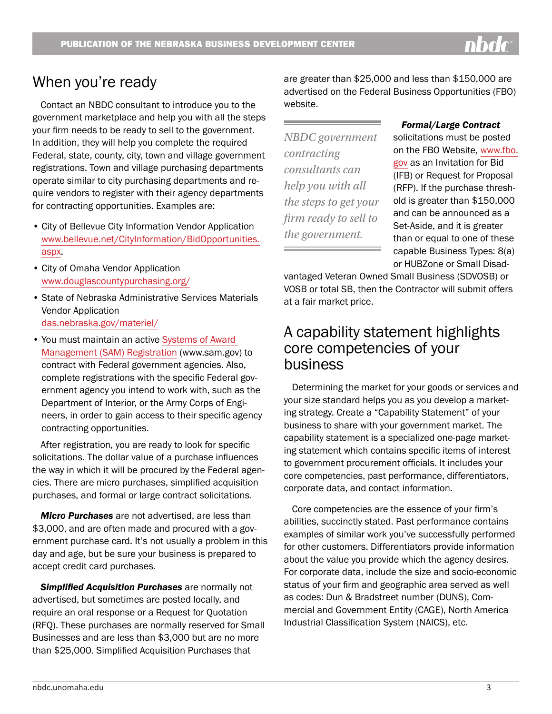#### When you're ready

Contact an NBDC consultant to introduce you to the government marketplace and help you with all the steps your firm needs to be ready to sell to the government. In addition, they will help you complete the required Federal, state, county, city, town and village government registrations. Town and village purchasing departments operate similar to city purchasing departments and require vendors to register with their agency departments for contracting opportunities. Examples are:

- City of Bellevue City Information Vendor Application [www.bellevue.net/CityInformation/BidOpportunities.](http://www.bellevue.net/CityInformation/BidOpportunities.aspx) [aspx.](http://www.bellevue.net/CityInformation/BidOpportunities.aspx)
- City of Omaha Vendor Application [www.douglascountypurchasing.org/](http://www.douglascountypurchasing.org/)
- State of Nebraska Administrative Services Materials Vendor Application [das.nebraska.gov/materiel/](http://das.nebraska.gov/materiel/)
- You must maintain an active Systems of Award [Management \(SAM\) Registration](http://www.sam.gov) (www.sam.gov) to contract with Federal government agencies. Also, complete registrations with the specific Federal government agency you intend to work with, such as the Department of Interior, or the Army Corps of Engineers, in order to gain access to their specific agency contracting opportunities.

After registration, you are ready to look for specific solicitations. The dollar value of a purchase influences the way in which it will be procured by the Federal agencies. There are micro purchases, simplified acquisition purchases, and formal or large contract solicitations.

*Micro Purchases* are not advertised, are less than \$3,000, and are often made and procured with a government purchase card. It's not usually a problem in this day and age, but be sure your business is prepared to accept credit card purchases.

*Simplified Acquisition Purchases* are normally not advertised, but sometimes are posted locally, and require an oral response or a Request for Quotation (RFQ). These purchases are normally reserved for Small Businesses and are less than \$3,000 but are no more than \$25,000. Simplified Acquisition Purchases that

are greater than \$25,000 and less than \$150,000 are advertised on the Federal Business Opportunities (FBO) website.

*NBDC government contracting consultants can help you with all the steps to get your firm ready to sell to the government.* 

#### *Formal/Large Contract*

solicitations must be posted on the FBO Website, [www.fbo.](http://www.fbo.gov) [gov](http://www.fbo.gov) as an Invitation for Bid (IFB) or Request for Proposal (RFP). If the purchase threshold is greater than \$150,000 and can be announced as a Set-Aside, and it is greater than or equal to one of these capable Business Types: 8(a) or HUBZone or Small Disad-

vantaged Veteran Owned Small Business (SDVOSB) or VOSB or total SB, then the Contractor will submit offers at a fair market price.

#### A capability statement highlights core competencies of your business

Determining the market for your goods or services and your size standard helps you as you develop a marketing strategy. Create a "Capability Statement" of your business to share with your government market. The capability statement is a specialized one-page marketing statement which contains specific items of interest to government procurement officials. It includes your core competencies, past performance, differentiators, corporate data, and contact information.

Core competencies are the essence of your firm's abilities, succinctly stated. Past performance contains examples of similar work you've successfully performed for other customers. Differentiators provide information about the value you provide which the agency desires. For corporate data, include the size and socio-economic status of your firm and geographic area served as well as codes: Dun & Bradstreet number (DUNS), Commercial and Government Entity (CAGE), North America Industrial Classification System (NAICS), etc.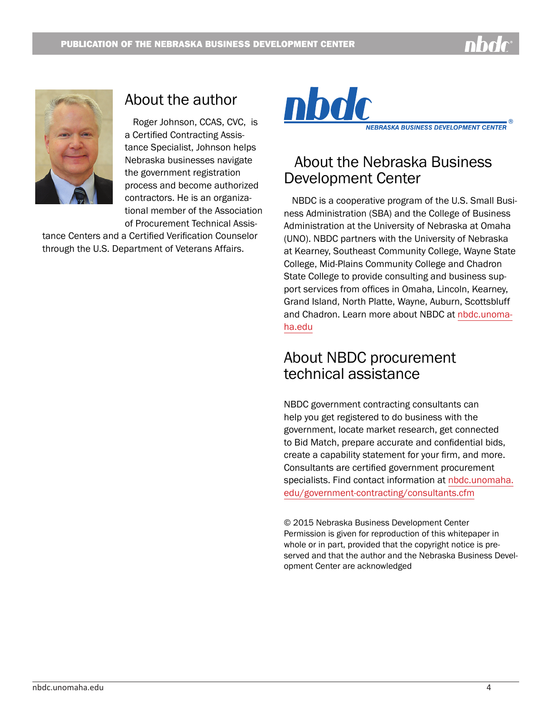



#### About the author

Roger Johnson, CCAS, CVC, is a Certified Contracting Assistance Specialist, Johnson helps Nebraska businesses navigate the government registration process and become authorized contractors. He is an organizational member of the Association of Procurement Technical Assis-

tance Centers and a Certified Verification Counselor through the U.S. Department of Veterans Affairs.



#### About the Nebraska Business Development Center

NBDC is a cooperative program of the U.S. Small Business Administration (SBA) and the College of Business Administration at the University of Nebraska at Omaha (UNO). NBDC partners with the University of Nebraska at Kearney, Southeast Community College, Wayne State College, Mid-Plains Community College and Chadron State College to provide consulting and business support services from offices in Omaha, Lincoln, Kearney, Grand Island, North Platte, Wayne, Auburn, Scottsbluff and Chadron. Learn more about NBDC at [nbdc.unoma](http://nbdc.unomaha.edu)[ha.edu](http://nbdc.unomaha.edu)

#### About NBDC procurement technical assistance

NBDC government contracting consultants can help you get registered to do business with the government, locate market research, get connected to Bid Match, prepare accurate and confidential bids, create a capability statement for your firm, and more. Consultants are certified government procurement specialists. Find contact information at [nbdc.unomaha.](http://www.nbdc.unomaha.edu/government-contracting) [edu/government-contractin](http://www.nbdc.unomaha.edu/government-contracting)g/consultants.cfm

© 2015 Nebraska Business Development Center Permission is given for reproduction of this whitepaper in whole or in part, provided that the copyright notice is preserved and that the author and the Nebraska Business Development Center are acknowledged